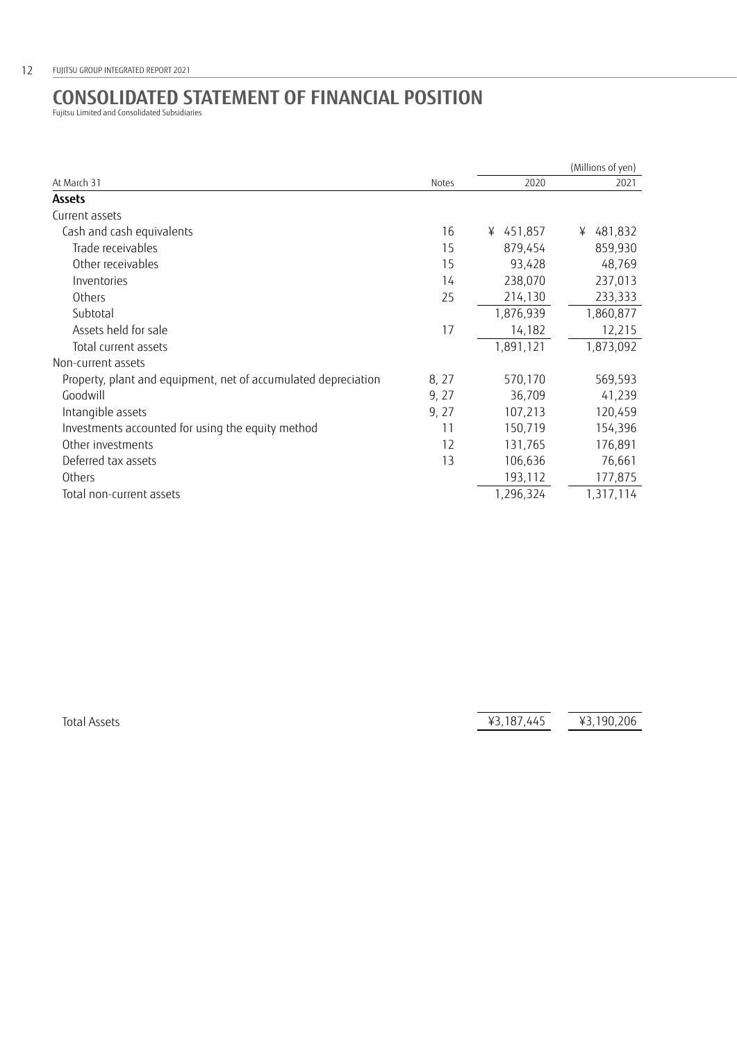## **CONSOLIDATED STATEMENT OF FINANCIAL POSITION** Fujitsu Limited and Consolidated Subsidiaries

|                                                                | Notes | (Millions of yen) |              |
|----------------------------------------------------------------|-------|-------------------|--------------|
| At March 31                                                    |       | 2020              | 2021         |
| <b>Assets</b>                                                  |       |                   |              |
| Current assets                                                 |       |                   |              |
| Cash and cash equivalents                                      | 16    | ¥ 451,857         | 481,832<br>¥ |
| Trade receivables                                              | 15    | 879,454           | 859,930      |
| Other receivables                                              | 15    | 93,428            | 48,769       |
| Inventories                                                    | 14    | 238,070           | 237,013      |
| Others                                                         | 25    | 214,130           | 233,333      |
| Subtotal                                                       |       | 1,876,939         | 1,860,877    |
| Assets held for sale                                           | 17    | 14,182            | 12,215       |
| Total current assets                                           |       | 1,891,121         | 1,873,092    |
| Non-current assets                                             |       |                   |              |
| Property, plant and equipment, net of accumulated depreciation | 8, 27 | 570,170           | 569,593      |
| Goodwill                                                       | 9, 27 | 36,709            | 41,239       |
| Intangible assets                                              | 9, 27 | 107,213           | 120,459      |
| Investments accounted for using the equity method              | 11    | 150,719           | 154,396      |
| Other investments                                              | 12    | 131,765           | 176,891      |
| Deferred tax assets                                            | 13    | 106,636           | 76,661       |
| Others                                                         |       | 193,112           | 177,875      |
| Total non-current assets                                       |       | 1,296,324         | 1,317,114    |

Total Assets **43,187,445**  $\overline{43,187,445}$   $\overline{43,190,206}$